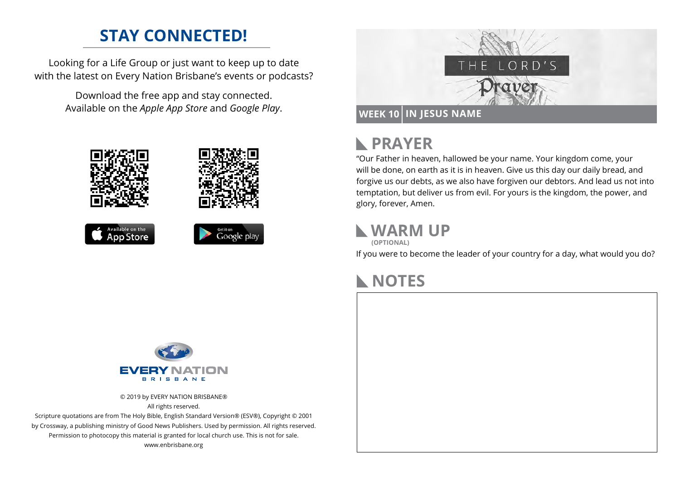## **STAY CONNECTED!**

Looking for a Life Group or just want to keep up to date with the latest on Every Nation Brisbane's events or podcasts?

> Download the free app and stay connected. Available on the *Apple App Store* and *Google Play*.











#### **PRAYER**  $\mathbb{R}$

"Our Father in heaven, hallowed be your name. Your kingdom come, your will be done, on earth as it is in heaven. Give us this day our daily bread, and forgive us our debts, as we also have forgiven our debtors. And lead us not into temptation, but deliver us from evil. For yours is the kingdom, the power, and glory, forever, Amen.

### **WARM UP**

**(OPTIONAL)**

If you were to become the leader of your country for a day, what would you do?

## **NOTES**



© 2019 by EVERY NATION BRISBANE® All rights reserved.

Scripture quotations are from The Holy Bible, English Standard Version® (ESV®), Copyright © 2001 by Crossway, a publishing ministry of Good News Publishers. Used by permission. All rights reserved. Permission to photocopy this material is granted for local church use. This is not for sale. www.enbrisbane.org